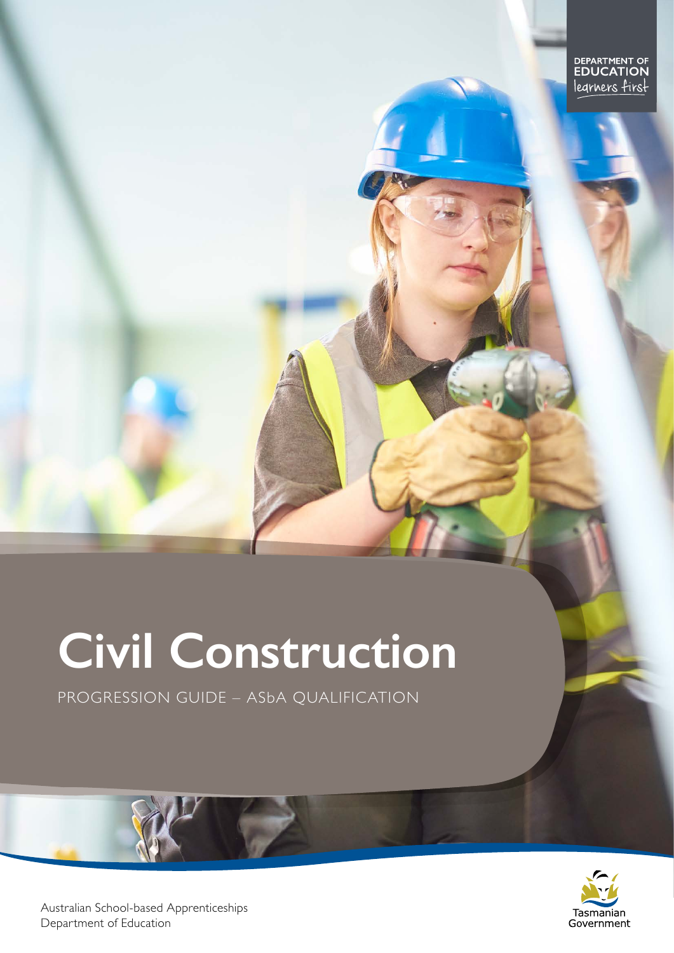# **Civil Construction**

PROGRESSION GUIDE – ASbA QUALIFICATION



Australian School-based Apprenticeships Department of Education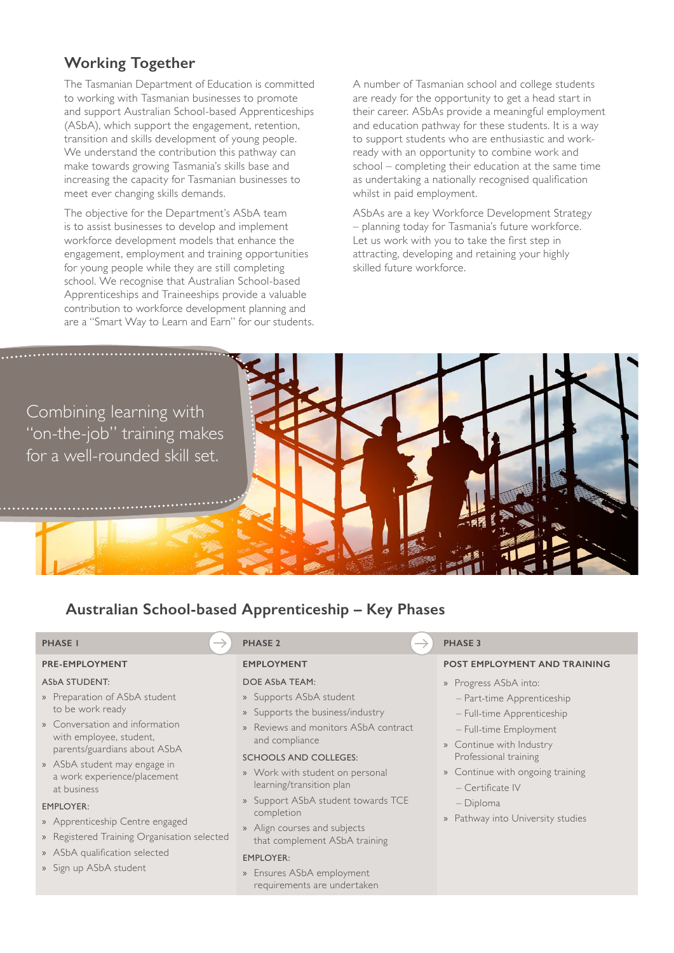# **Working Together**

The Tasmanian Department of Education is committed to working with Tasmanian businesses to promote and support Australian School-based Apprenticeships (ASbA), which support the engagement, retention, transition and skills development of young people. We understand the contribution this pathway can make towards growing Tasmania's skills base and increasing the capacity for Tasmanian businesses to meet ever changing skills demands.

The objective for the Department's ASbA team is to assist businesses to develop and implement workforce development models that enhance the engagement, employment and training opportunities for young people while they are still completing school. We recognise that Australian School-based Apprenticeships and Traineeships provide a valuable contribution to workforce development planning and are a "Smart Way to Learn and Earn" for our students. A number of Tasmanian school and college students are ready for the opportunity to get a head start in their career. ASbAs provide a meaningful employment and education pathway for these students. It is a way to support students who are enthusiastic and workready with an opportunity to combine work and school – completing their education at the same time as undertaking a nationally recognised qualification whilst in paid employment.

ASbAs are a key Workforce Development Strategy – planning today for Tasmania's future workforce. Let us work with you to take the first step in attracting, developing and retaining your highly skilled future workforce.

Combining learning with "on-the-job" training makes for a well-rounded skill set.



# **Australian School-based Apprenticeship – Key Phases**

## **PRE-EMPLOYMENT**

### ASbA STUDENT:

- » Preparation of ASbA student to be work ready
- » Conversation and information with employee, student, parents/guardians about ASbA
- » ASbA student may engage in a work experience/placement at business

### EMPLOYER:

- » Apprenticeship Centre engaged
- » Registered Training Organisation selected
- » ASbA qualification selected
- » Sign up ASbA student

### **EMPLOYMENT**

#### DOE ASbA TEAM:

- » Supports ASbA student
- » Supports the business/industry
- » Reviews and monitors ASbA contract and compliance

#### SCHOOLS AND COLLEGES:

- » Work with student on personal learning/transition plan
- » Support ASbA student towards TCE completion
- » Align courses and subjects that complement ASbA training

#### EMPLOYER:

» Ensures ASbA employment requirements are undertaken

### **PHASE 1 PHASE 3 PHASE 3 PHASE 3 PHASE 3 PHASE 3**

#### **POST EMPLOYMENT AND TRAINING**

- » Progress ASbA into:
	- Part-time Apprenticeship
	- Full-time Apprenticeship
	- Full-time Employment
- » Continue with Industry Professional training
- » Continue with ongoing training – Certificate IV
- Diploma
- » Pathway into University studies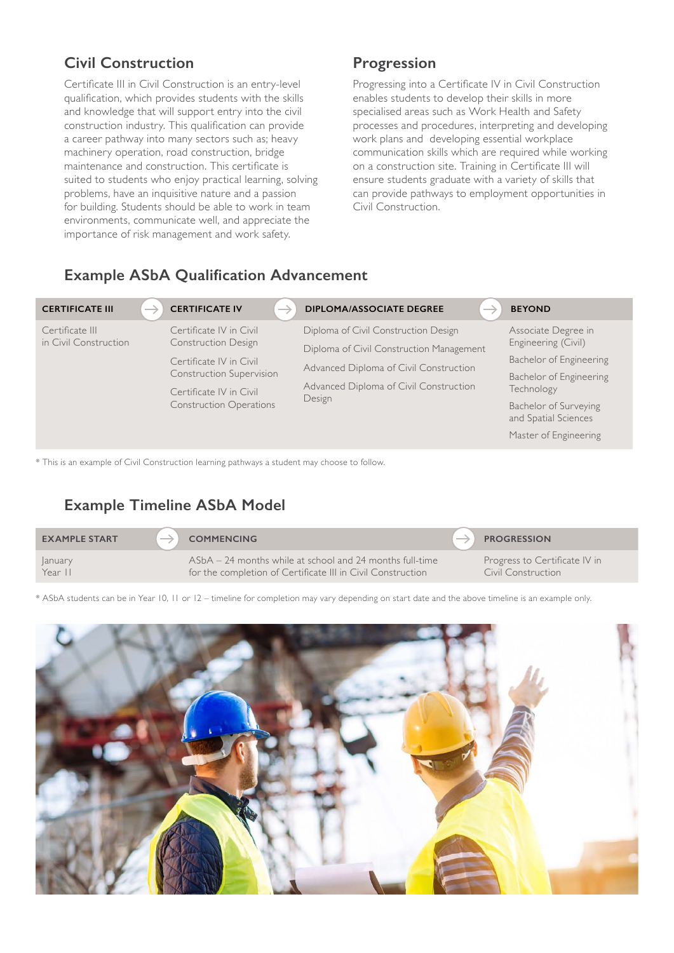# **Civil Construction**

Certificate III in Civil Construction is an entry-level qualification, which provides students with the skills and knowledge that will support entry into the civil construction industry. This qualification can provide a career pathway into many sectors such as; heavy machinery operation, road construction, bridge maintenance and construction. This certificate is suited to students who enjoy practical learning, solving problems, have an inquisitive nature and a passion for building. Students should be able to work in team environments, communicate well, and appreciate the importance of risk management and work safety.

# **Progression**

Progressing into a Certificate IV in Civil Construction enables students to develop their skills in more specialised areas such as Work Health and Safety processes and procedures, interpreting and developing work plans and developing essential workplace communication skills which are required while working on a construction site. Training in Certificate III will ensure students graduate with a variety of skills that can provide pathways to employment opportunities in Civil Construction.

# **Example ASbA Qualification Advancement**

| ─<br><b>CERTIFICATE III</b>              | <b>CERTIFICATE IV</b><br>─                                                                                                                                                | <b>DIPLOMA/ASSOCIATE DEGREE</b><br>__                                                                                                                                          | <b>BEYOND</b>                                                                                                                                                                            |
|------------------------------------------|---------------------------------------------------------------------------------------------------------------------------------------------------------------------------|--------------------------------------------------------------------------------------------------------------------------------------------------------------------------------|------------------------------------------------------------------------------------------------------------------------------------------------------------------------------------------|
| Certificate III<br>in Civil Construction | Certificate IV in Civil<br><b>Construction Design</b><br>Certificate IV in Civil<br>Construction Supervision<br>Certificate IV in Civil<br><b>Construction Operations</b> | Diploma of Civil Construction Design<br>Diploma of Civil Construction Management<br>Advanced Diploma of Civil Construction<br>Advanced Diploma of Civil Construction<br>Design | Associate Degree in<br>Engineering (Civil)<br>Bachelor of Engineering<br>Bachelor of Engineering<br>Technology<br>Bachelor of Surveying<br>and Spatial Sciences<br>Master of Engineering |
|                                          |                                                                                                                                                                           |                                                                                                                                                                                |                                                                                                                                                                                          |

\* This is an example of Civil Construction learning pathways a student may choose to follow.

# **Example Timeline ASbA Model**

| <b>EXAMPLE START</b> | <b>COMMENCING</b>                                           | <b>PROGRESSION</b>            |
|----------------------|-------------------------------------------------------------|-------------------------------|
| <b>anuary</b>        | ASbA – 24 months while at school and 24 months full-time    | Progress to Certificate IV in |
| Year II              | for the completion of Certificate III in Civil Construction | Civil Construction            |

\* ASbA students can be in Year 10, 11 or 12 – timeline for completion may vary depending on start date and the above timeline is an example only.